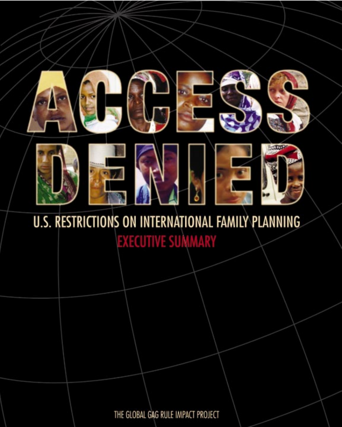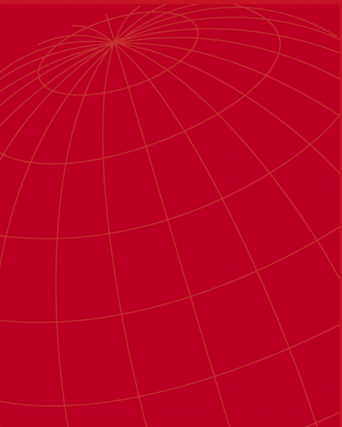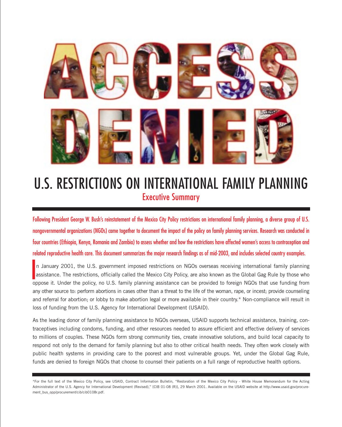

# U.S. RESTRICTIONS ON INTERNATIONAL FAMILY PLANNING Executive Summary

Following President George W. Bush's reinstatement of the Mexico City Policy restrictions on international family planning, a diverse group of U.S. nongovernmental organizations (NGOs) came together to document the impact of the policy on family planning services. Research was conducted in four countries (Ethiopia, Kenya, Romania and Zambia) to assess whether and how the restrictions have affected women's access to contraception and related reproductive health care. This document summarizes the major research findings as of mid-2003, and includes selected country examples.

n January 2001, the U.S. government imposed restrictions on NGOs overseas receiving international family planning assistance. The restrictions, officially called the Mexico City Policy, are also known as the Global Gag Rule by those who n January 2001, the U.S. government imposed restrictions on NGOs overseas receiving international family planning assistance. The restrictions, officially called the Mexico City Policy, are also known as the Global Gag Rul any other source to: perform abortions in cases other than a threat to the life of the woman, rape, or incest; provide counseling and referral for abortion; or lobby to make abortion legal or more available in their country.\* Non-compliance will result in loss of funding from the U.S. Agency for International Development (USAID).

As the leading donor of family planning assistance to NGOs overseas, USAID supports technical assistance, training, contraceptives including condoms, funding, and other resources needed to assure efficient and effective delivery of services to millions of couples. These NGOs form strong community ties, create innovative solutions, and build local capacity to respond not only to the demand for family planning but also to other critical health needs. They often work closely with public health systems in providing care to the poorest and most vulnerable groups. Yet, under the Global Gag Rule, funds are denied to foreign NGOs that choose to counsel their patients on a full range of reproductive health options.

<sup>\*</sup>For the full text of the Mexico City Policy, see USAID, Contract Information Bulletin, "Restoration of the Mexico City Policy - White House Memorandum for the Acting Administrator of the U.S. Agency for International Development (Revised)," [CIB 01-08 (R)], 29 March 2001. Available on the USAID website at http://www.usaid.gov/procurement\_bus\_opp/procurement/cib/cib0108r.pdf.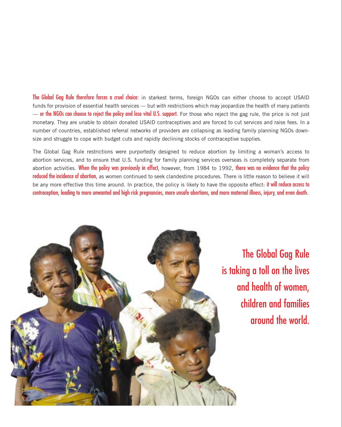The Global Gag Rule therefore forces a cruel choice: in starkest terms, foreign NGOs can either choose to accept USAID funds for provision of essential health services — but with restrictions which may jeopardize the health of many patients — or the NGOs can choose to reject the policy and lose vital U.S. support. For those who reject the gag rule, the price is not just monetary. They are unable to obtain donated USAID contraceptives and are forced to cut services and raise fees. In a number of countries, established referral networks of providers are collapsing as leading family planning NGOs downsize and struggle to cope with budget cuts and rapidly declining stocks of contraceptive supplies.

The Global Gag Rule restrictions were purportedly designed to reduce abortion by limiting a woman's access to abortion services, and to ensure that U.S. funding for family planning services overseas is completely separate from abortion activities. When the policy was previously in effect, however, from 1984 to 1992, there was no evidence that the policy reduced the incidence of abortion, as women continued to seek clandestine procedures. There is little reason to believe it will be any more effective this time around. In practice, the policy is likely to have the opposite effect: it will reduce access to contraception, leading to more unwanted and high-risk pregnancies, more unsafe abortions, and more maternal illness, injury, and even death.



The Global Gag Rule is taking a toll on the lives and health of women, children and families around the world.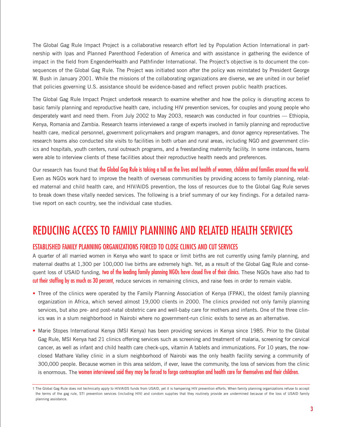The Global Gag Rule Impact Project is a collaborative research effort led by Population Action International in partnership with Ipas and Planned Parenthood Federation of America and with assistance in gathering the evidence of impact in the field from EngenderHealth and Pathfinder International. The Project's objective is to document the consequences of the Global Gag Rule. The Project was initiated soon after the policy was reinstated by President George W. Bush in January 2001. While the missions of the collaborating organizations are diverse, we are united in our belief that policies governing U.S. assistance should be evidence-based and reflect proven public health practices.

The Global Gag Rule Impact Project undertook research to examine whether and how the policy is disrupting access to basic family planning and reproductive health care, including HIV prevention services, for couples and young people who desperately want and need them. From July 2002 to May 2003, research was conducted in four countries — Ethiopia, Kenya, Romania and Zambia. Research teams interviewed a range of experts involved in family planning and reproductive health care, medical personnel, government policymakers and program managers, and donor agency representatives. The research teams also conducted site visits to facilities in both urban and rural areas, including NGO and government clinics and hospitals, youth centers, rural outreach programs, and a freestanding maternity facility. In some instances, teams were able to interview clients of these facilities about their reproductive health needs and preferences.

Our research has found that the Global Gag Rule is taking a toll on the lives and health of women, children and families around the world. Even as NGOs work hard to improve the health of overseas communities by providing access to family planning, related maternal and child health care, and HIV/AIDS prevention, the loss of resources due to the Global Gag Rule serves to break down these vitally needed services. The following is a brief summary of our key findings. For a detailed narrative report on each country, see the individual case studies.

## REDUCING ACCESS TO FAMILY PLANNING AND RELATED HEALTH SERVICES

#### ESTABLISHED FAMILY PLANNING ORGANIZATIONS FORCED TO CLOSE CLINICS AND CUT SERVICES

A quarter of all married women in Kenya who want to space or limit births are not currently using family planning, and maternal deaths at 1,300 per 100,000 live births are extremely high. Yet, as a result of the Global Gag Rule and consequent loss of USAID funding, two of the leading family planning NGOs have closed five of their clinics. These NGOs have also had to cut their staffing by as much as 30 percent, reduce services in remaining clinics, and raise fees in order to remain viable.

- Three of the clinics were operated by the Family Planning Association of Kenya (FPAK), the oldest family planning organization in Africa, which served almost 19,000 clients in 2000. The clinics provided not only family planning services, but also pre- and post-natal obstetric care and well-baby care for mothers and infants. One of the three clinics was in a slum neighborhood in Nairobi where no government-run clinic exists to serve as an alternative.
- Marie Stopes International Kenya (MSI Kenya) has been providing services in Kenya since 1985. Prior to the Global Gag Rule, MSI Kenya had 21 clinics offering services such as screening and treatment of malaria, screening for cervical cancer, as well as infant and child health care check-ups, vitamin A tablets and immunizations. For 10 years, the nowclosed Mathare Valley clinic in a slum neighborhood of Nairobi was the only health facility serving a community of 300,000 people. Because women in this area seldom, if ever, leave the community, the loss of services from the clinic is enormous. The women interviewed said they may be forced to forgo contraception and health care for themselves and their children.

<sup>†</sup> The Global Gag Rule does not technically apply to HIV/AIDS funds from USAID, yet it is hampering HIV prevention efforts. When family planning organizations refuse to accept the terms of the gag rule, STI prevention services (including HIV) and condom supplies that they routinely provide are undermined because of the loss of USAID family planning assistance.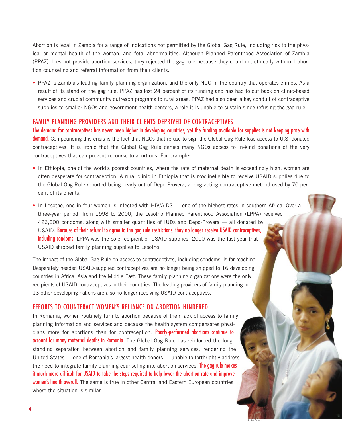Abortion is legal in Zambia for a range of indications not permitted by the Global Gag Rule, including risk to the physical or mental health of the woman, and fetal abnormalities. Although Planned Parenthood Association of Zambia (PPAZ) does not provide abortion services, they rejected the gag rule because they could not ethically withhold abortion counseling and referral information from their clients.

• PPAZ is Zambia's leading family planning organization, and the only NGO in the country that operates clinics. As a result of its stand on the gag rule, PPAZ has lost 24 percent of its funding and has had to cut back on clinic-based services and crucial community outreach programs to rural areas. PPAZ had also been a key conduit of contraceptive supplies to smaller NGOs and government health centers, a role it is unable to sustain since refusing the gag rule.

#### FAMILY PLANNING PROVIDERS AND THEIR CLIENTS DEPRIVED OF CONTRACEPTIVES

The demand for contraceptives has never been higher in developing countries, yet the funding available for supplies is not keeping pace with demand. Compounding this crisis is the fact that NGOs that refuse to sign the Global Gag Rule lose access to U.S.-donated contraceptives. It is ironic that the Global Gag Rule denies many NGOs access to in-kind donations of the very contraceptives that can prevent recourse to abortions. For example:

- In Ethiopia, one of the world's poorest countries, where the rate of maternal death is exceedingly high, women are often desperate for contraception. A rural clinic in Ethiopia that is now ineligible to receive USAID supplies due to the Global Gag Rule reported being nearly out of Depo-Provera, a long-acting contraceptive method used by 70 percent of its clients.
- In Lesotho, one in four women is infected with HIV/AIDS one of the highest rates in southern Africa. Over a three-year period, from 1998 to 2000, the Lesotho Planned Parenthood Association (LPPA) received 426,000 condoms, along with smaller quantities of IUDs and Depo-Provera — all donated by USAID. Because of their refusal to agree to the gag rule restrictions, they no longer receive USAID contraceptives, including condoms. LPPA was the sole recipient of USAID supplies; 2000 was the last year that USAID shipped family planning supplies to Lesotho.

© Jim Daniels

The impact of the Global Gag Rule on access to contraceptives, including condoms, is far-reaching. Desperately needed USAID-supplied contraceptives are no longer being shipped to 16 developing countries in Africa, Asia and the Middle East. These family planning organizations were the only recipients of USAID contraceptives in their countries. The leading providers of family planning in 13 other developing nations are also no longer receiving USAID contraceptives.

### EFFORTS TO COUNTERACT WOMEN'S RELIANCE ON ABORTION HINDERED

In Romania, women routinely turn to abortion because of their lack of access to family planning information and services and because the health system compensates physicians more for abortions than for contraception. Poorly-performed abortions continue to account for many maternal deaths in Romania. The Global Gag Rule has reinforced the longstanding separation between abortion and family planning services, rendering the United States — one of Romania's largest health donors — unable to forthrightly address the need to integrate family planning counseling into abortion services. The gag rule makes it much more difficult for USAID to take the steps required to help lower the abortion rate and improve women's health overall. The same is true in other Central and Eastern European countries where the situation is similar.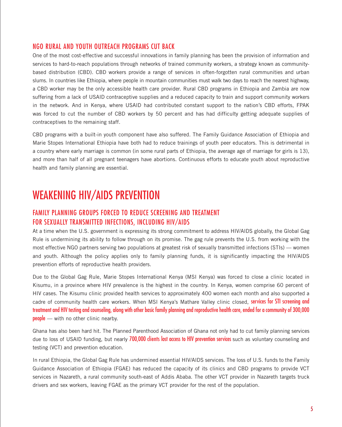#### NGO RURAL AND YOUTH OUTREACH PROGRAMS CUT BACK

One of the most cost-effective and successful innovations in family planning has been the provision of information and services to hard-to-reach populations through networks of trained community workers, a strategy known as communitybased distribution (CBD). CBD workers provide a range of services in often-forgotten rural communities and urban slums. In countries like Ethiopia, where people in mountain communities must walk two days to reach the nearest highway, a CBD worker may be the only accessible health care provider. Rural CBD programs in Ethiopia and Zambia are now suffering from a lack of USAID contraceptive supplies and a reduced capacity to train and support community workers in the network. And in Kenya, where USAID had contributed constant support to the nation's CBD efforts, FPAK was forced to cut the number of CBD workers by 50 percent and has had difficulty getting adequate supplies of contraceptives to the remaining staff.

CBD programs with a built-in youth component have also suffered. The Family Guidance Association of Ethiopia and Marie Stopes International Ethiopia have both had to reduce trainings of youth peer educators. This is detrimental in a country where early marriage is common (in some rural parts of Ethiopia, the average age of marriage for girls is 13), and more than half of all pregnant teenagers have abortions. Continuous efforts to educate youth about reproductive health and family planning are essential.

## WEAKENING HIV/AIDS PREVENTION

## FAMILY PLANNING GROUPS FORCED TO REDUCE SCREENING AND TREATMENT FOR SEXUALLY TRANSMITTED INFECTIONS, INCLUDING HIV/AIDS

At a time when the U.S. government is expressing its strong commitment to address HIV/AIDS globally, the Global Gag Rule is undermining its ability to follow through on its promise. The gag rule prevents the U.S. from working with the most effective NGO partners serving two populations at greatest risk of sexually transmitted infections (STIs) — women and youth. Although the policy applies only to family planning funds, it is significantly impacting the HIV/AIDS prevention efforts of reproductive health providers.

Due to the Global Gag Rule, Marie Stopes International Kenya (MSI Kenya) was forced to close a clinic located in Kisumu, in a province where HIV prevalence is the highest in the country. In Kenya, women comprise 60 percent of HIV cases. The Kisumu clinic provided health services to approximately 400 women each month and also supported a cadre of community health care workers. When MSI Kenya's Mathare Valley clinic closed, services for STI screening and treatment and HIV testing and counseling, along with other basic family planning and reproductive health care, ended for a community of 300,000 **people** — with no other clinic nearby.

Ghana has also been hard hit. The Planned Parenthood Association of Ghana not only had to cut family planning services due to loss of USAID funding, but nearly 700,000 clients lost access to HIV prevention services such as voluntary counseling and testing (VCT) and prevention education.

In rural Ethiopia, the Global Gag Rule has undermined essential HIV/AIDS services. The loss of U.S. funds to the Family Guidance Association of Ethiopia (FGAE) has reduced the capacity of its clinics and CBD programs to provide VCT services in Nazareth, a rural community south-east of Addis Ababa. The other VCT provider in Nazareth targets truck drivers and sex workers, leaving FGAE as the primary VCT provider for the rest of the population.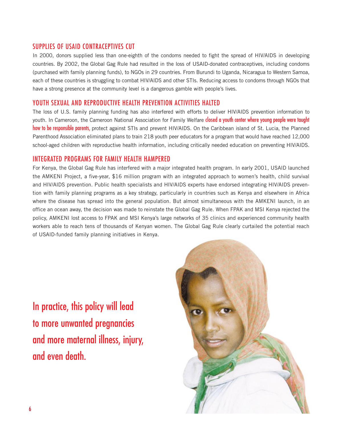#### SUPPLIES OF USAID CONTRACEPTIVES CUT

In 2000, donors supplied less than one-eighth of the condoms needed to fight the spread of HIV/AIDS in developing countries. By 2002, the Global Gag Rule had resulted in the loss of USAID-donated contraceptives, including condoms (purchased with family planning funds), to NGOs in 29 countries. From Burundi to Uganda, Nicaragua to Western Samoa, each of these countries is struggling to combat HIV/AIDS and other STIs. Reducing access to condoms through NGOs that have a strong presence at the community level is a dangerous gamble with people's lives.

### YOUTH SEXUAL AND REPRODUCTIVE HEALTH PREVENTION ACTIVITIES HALTED

The loss of U.S. family planning funding has also interfered with efforts to deliver HIV/AIDS prevention information to youth. In Cameroon, the Cameroon National Association for Family Welfare closed a youth center where young people were taught how to be responsible parents, protect against STIs and prevent HIV/AIDS. On the Caribbean island of St. Lucia, the Planned Parenthood Association eliminated plans to train 218 youth peer educators for a program that would have reached 12,000 school-aged children with reproductive health information, including critically needed education on preventing HIV/AIDS.

#### INTEGRATED PROGRAMS FOR FAMILY HEALTH HAMPERED

For Kenya, the Global Gag Rule has interfered with a major integrated health program. In early 2001, USAID launched the AMKENI Project, a five-year, \$16 million program with an integrated approach to women's health, child survival and HIV/AIDS prevention. Public health specialists and HIV/AIDS experts have endorsed integrating HIV/AIDS prevention with family planning programs as a key strategy, particularly in countries such as Kenya and elsewhere in Africa where the disease has spread into the general population. But almost simultaneous with the AMKENI launch, in an office an ocean away, the decision was made to reinstate the Global Gag Rule. When FPAK and MSI Kenya rejected the policy, AMKENI lost access to FPAK and MSI Kenya's large networks of 35 clinics and experienced community health workers able to reach tens of thousands of Kenyan women. The Global Gag Rule clearly curtailed the potential reach of USAID-funded family planning initiatives in Kenya.

In practice, this policy will lead to more unwanted pregnancies and more maternal illness, injury, and even death.

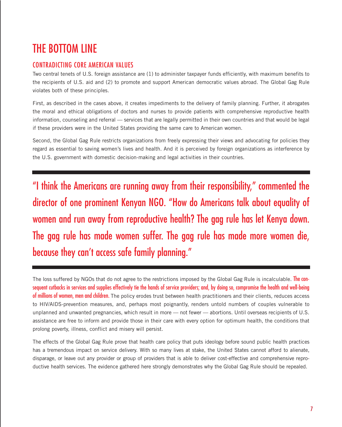# THE BOTTOM LINE

## CONTRADICTING CORE AMERICAN VALUES

Two central tenets of U.S. foreign assistance are (1) to administer taxpayer funds efficiently, with maximum benefits to the recipients of U.S. aid and (2) to promote and support American democratic values abroad. The Global Gag Rule violates both of these principles.

First, as described in the cases above, it creates impediments to the delivery of family planning. Further, it abrogates the moral and ethical obligations of doctors and nurses to provide patients with comprehensive reproductive health information, counseling and referral — services that are legally permitted in their own countries and that would be legal if these providers were in the United States providing the same care to American women.

Second, the Global Gag Rule restricts organizations from freely expressing their views and advocating for policies they regard as essential to saving women's lives and health. And it is perceived by foreign organizations as interference by the U.S. government with domestic decision-making and legal activities in their countries.

"I think the Americans are running away from their responsibility," commented the director of one prominent Kenyan NGO. "How do Americans talk about equality of women and run away from reproductive health? The gag rule has let Kenya down. The gag rule has made women suffer. The gag rule has made more women die, because they can't access safe family planning."

The loss suffered by NGOs that do not agree to the restrictions imposed by the Global Gag Rule is incalculable. The consequent cutbacks in services and supplies effectively tie the hands of service providers; and, by doing so, compromise the health and well-being of millions of women, men and children. The policy erodes trust between health practitioners and their clients, reduces access to HIV/AIDS-prevention measures, and, perhaps most poignantly, renders untold numbers of couples vulnerable to unplanned and unwanted pregnancies, which result in more — not fewer — abortions. Until overseas recipients of U.S. assistance are free to inform and provide those in their care with every option for optimum health, the conditions that prolong poverty, illness, conflict and misery will persist.

The effects of the Global Gag Rule prove that health care policy that puts ideology before sound public health practices has a tremendous impact on service delivery. With so many lives at stake, the United States cannot afford to alienate, disparage, or leave out any provider or group of providers that is able to deliver cost-effective and comprehensive reproductive health services. The evidence gathered here strongly demonstrates why the Global Gag Rule should be repealed.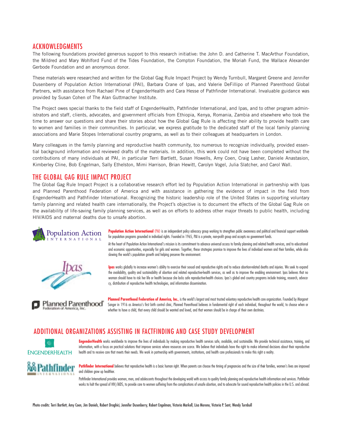#### ACKNOWLEDGMENTS

The following foundations provided generous support to this research initiative: the John D. and Catherine T. MacArthur Foundation, the Mildred and Mary Wohlford Fund of the Tides Foundation, the Compton Foundation, the Moriah Fund, the Wallace Alexander Gerbode Foundation and an anonymous donor.

These materials were researched and written for the Global Gag Rule Impact Project by Wendy Turnbull, Margaret Greene and Jennifer Dusenberry of Population Action International (PAI), Barbara Crane of Ipas, and Valerie DeFillipo of Planned Parenthood Global Partners, with assistance from Rachael Pine of EngenderHealth and Cara Hesse of Pathfinder International. Invaluable guidance was provided by Susan Cohen of The Alan Guttmacher Institute.

The Project owes special thanks to the field staff of EngenderHealth, Pathfinder International, and Ipas, and to other program administrators and staff, clients, advocates, and government officials from Ethiopia, Kenya, Romania, Zambia and elsewhere who took the time to answer our questions and share their stories about how the Global Gag Rule is affecting their ability to provide health care to women and families in their communities. In particular, we express gratitude to the dedicated staff of the local family planning associations and Marie Stopes International country programs, as well as to their colleagues at headquarters in London.

Many colleagues in the family planning and reproductive health community, too numerous to recognize individually, provided essential background information and reviewed drafts of the materials. In addition, this work could not have been completed without the contributions of many individuals at PAI, in particular Terri Bartlett, Susan Howells, Amy Coen, Craig Lasher, Daniele Anastasion, Kimberley Cline, Bob Engelman, Sally Ethelston, Mimi Harrison, Brian Hewitt, Carolyn Vogel, Julia Slatcher, and Carol Wall.

#### THE GLOBAL GAG RULE IMPACT PROJECT

The Global Gag Rule Impact Project is a collaborative research effort led by Population Action International in partnership with Ipas and Planned Parenthood Federation of America and with assistance in gathering the evidence of impact in the field from EngenderHealth and Pathfinder International. Recognizing the historic leadership role of the United States in supporting voluntary family planning and related health care internationally, the Project's objective is to document the effects of the Global Gag Rule on the availability of life-saving family planning services, as well as on efforts to address other major threats to public health, including HIV/AIDS and maternal deaths due to unsafe abortion.



Population Action International (PAI) is an independent policy advocacy group working to strengthen public awareness and political and financial support worldwide for population programs grounded in individual rights. Founded in 1965, PAI is a private, non-profit group and accepts no government funds.

At the heart of Population Action International's mission is its commitment to advance universal access to family planning and related health services, and to educational and economic opportunities, especially for girls and women. Together, these strategies promise to improve the lives of individual women and their families, while also slowing the world's population growth and helping preserve the environment.

Planned Parenthood ation of America, Inc.

**Ipas** works globally to increase women's ability to exercise their sexual and reproductive rights and to reduce abortion-related deaths and injuries. We seek to expand the availability, quality and sustainability of abortion and related reproductive-health services, as well as to improve the enabling environment. Ipas believes that no woman should have to risk her life or health because she lacks safe reproductive-health choices. Ipas's global and country programs include training, research, advocacy, distribution of reproductive health technologies, and information dissemination.

Planned Parenthood Federation of America, Inc., is the world's largest and most trusted voluntary reproductive health care organization. Founded by Margaret Sanger in 1916 as America's first birth control clinic, Planned Parenthood believes in fundamental right of each individual, throughout the world, to choose when or whether to have a child, that every child should be wanted and loved, and that women should be in charge of their own destinies.

### ADDITIONAL ORGANIZATIONS ASSISTING IN FACTFINDING AND CASE STUDY DEVELOPMENT



EngenderHealth works worldwide to improve the lives of individuals by making reproductive health services safe, available, and sustainable. We provide technical assistance, training, and information, with a focus on practical solutions that improve services where resources are scarce. We believe that individuals have the right to make informed decisions about their reproductive health and to receive care that meets their needs. We work in partnership with governments, institutions, and health care professionals to make this right a reality.



Pathfinder International believes that reproductive health is a basic human right. When parents can choose the timing of pregnancies and the size of their families, women's lives are improved and children grow up healthier.

Pathfinder International provides women, men, and adolescents throughout the developing world with access to quality family planning and reproductive health information and services. Pathfinder works to halt the spread of HIV/AIDS, to provide care to women suffering from the complications of unsafe abortion, and to advocate for sound reproductive health policies in the U.S. and abroad.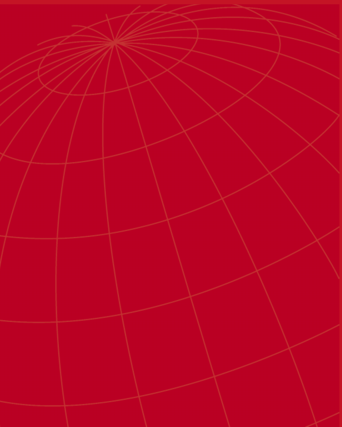